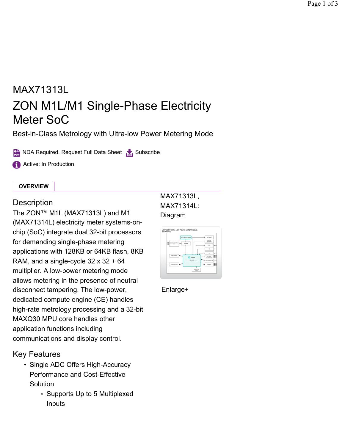# MAX71313L ZON M1L/M1 Single-Phase Electricity Meter SoC

Best-in-Class Metrology with Ultra-low Power Metering Mode

**Required. Request Full Data Sheet Subscribe** 

**Active: In Production.** 

#### **OVERVIEW**

### **Description**

The ZON™ M1L (MAX71313L) and M1 (MAX71314L) electricity meter systems-onchip (SoC) integrate dual 32-bit processors for demanding single-phase metering applications with 128KB or 64KB flash, 8KB RAM, and a single-cycle  $32 \times 32 + 64$ multiplier. A low-power metering mode allows metering in the presence of neutral disconnect tampering. The low-power, dedicated compute engine (CE) handles high-rate metrology processing and a 32-bit MAXQ30 MPU core handles other application functions including communications and display control.

## Key Features

- Single ADC Offers High-Accuracy Performance and Cost-Effective **Solution** 
	- Supports Up to 5 Multiplexed Inputs

# MAX71313L, MAX71314L: Diagram



Enlarge+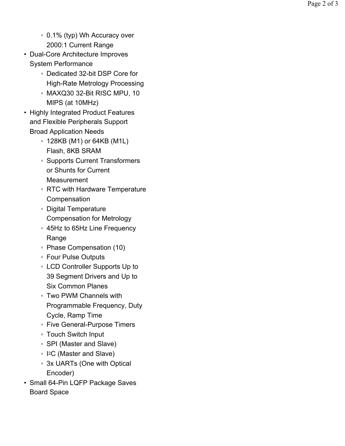- 0.1% (typ) Wh Accuracy over 2000:1 Current Range
- Dual-Core Architecture Improves System Performance
	- Dedicated 32-bit DSP Core for High-Rate Metrology Processing
	- MAXQ30 32-Bit RISC MPU, 10 MIPS (at 10MHz)
- Highly Integrated Product Features and Flexible Peripherals Support Broad Application Needs
	- 128KB (M1) or 64KB (M1L) Flash, 8KB SRAM
	- Supports Current Transformers or Shunts for Current **Measurement**
	- RTC with Hardware Temperature **Compensation**
	- Digital Temperature Compensation for Metrology
	- 45Hz to 65Hz Line Frequency Range
	- Phase Compensation (10)
	- Four Pulse Outputs
	- LCD Controller Supports Up to 39 Segment Drivers and Up to Six Common Planes
	- Two PWM Channels with Programmable Frequency, Duty Cycle, Ramp Time
	- Five General-Purpose Timers
	- Touch Switch Input
	- SPI (Master and Slave)
	- I<sup>2</sup>C (Master and Slave)
	- 3x UARTs (One with Optical Encoder)
- Small 64-Pin LQFP Package Saves ∘ I<sup>2</sup>C (Ma<br>& 3x UAR<br>Encode<br>Small 64-Pin<br>Board Space